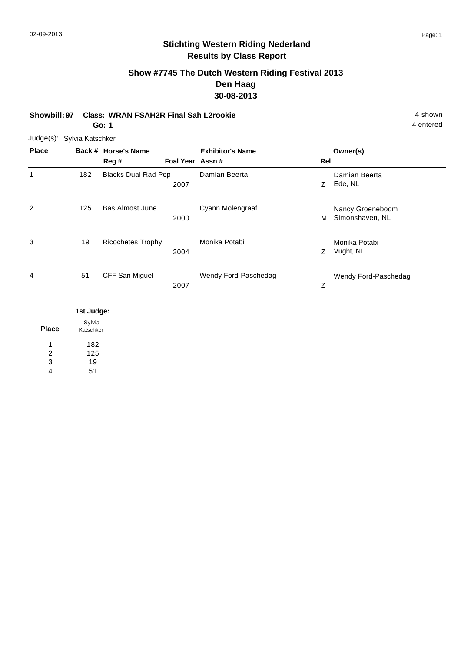## **Show #7745 The Dutch Western Riding Festival 2013 Den Haag 30-08-2013**

**Showbill: 97 Class: WRAN FSAH2R Final Sah L2rookie** 4 Shown 4 shown **Go: 1**

Judge(s): Sylvia Katschker

| <b>Place</b> |                     | Back # Horse's Name<br>Reg# | Foal Year Assn# | <b>Exhibitor's Name</b> | Rel | Owner(s)                            |
|--------------|---------------------|-----------------------------|-----------------|-------------------------|-----|-------------------------------------|
| 1            | 182                 | <b>Blacks Dual Rad Pep</b>  | 2007            | Damian Beerta           | Z   | Damian Beerta<br>Ede, NL            |
| 2            | 125                 | <b>Bas Almost June</b>      | 2000            | Cyann Molengraaf        | м   | Nancy Groeneboom<br>Simonshaven, NL |
| 3            | 19                  | <b>Ricochetes Trophy</b>    | 2004            | Monika Potabi           | Z   | Monika Potabi<br>Vught, NL          |
| 4            | 51                  | CFF San Miguel              | 2007            | Wendy Ford-Paschedag    | Ζ   | Wendy Ford-Paschedag                |
|              | 1st Judge:          |                             |                 |                         |     |                                     |
| <b>Place</b> | Sylvia<br>Katashkar |                             |                 |                         |     |                                     |

|              | Sylvia    |
|--------------|-----------|
| <b>Place</b> | Katschker |
|              | 182       |
| 2            | 125       |
| 3            | 19        |
| 4            | 51        |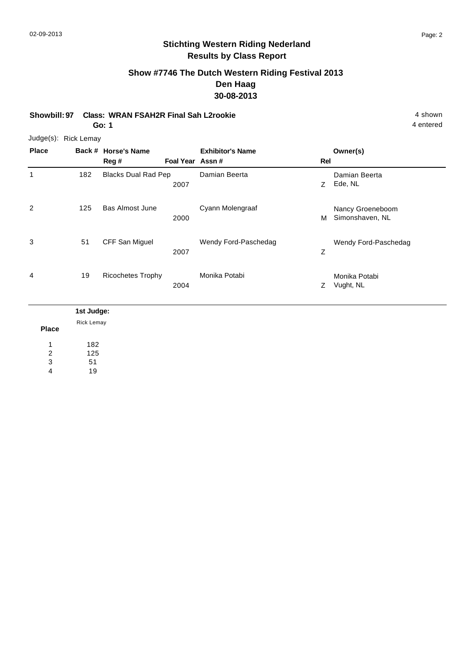## **Show #7746 The Dutch Western Riding Festival 2013 Den Haag 30-08-2013**

**Showbill: 97 Class: WRAN FSAH2R Final Sah L2rookie** 4 Shown **Go: 1**

Judge(s): Rick Lemay **Back # Horse's Name Place Owner(s) Reg # Assn # Foal Year Rel Exhibitor's Name** 1 Z 2007 Ede, NL Damian Beerta 182 Blacks Dual Rad Pep Damian Beerta 2 M 2000 Simonshaven, NL Nancy Groeneboom 125 Bas Almost June Cyann Molengraaf 3 Z Wendy Ford-Paschedag 2007 51 CFF San Miguel Wendy Ford-Paschedag 4 Z 2004 Vught, NL Monika Potabi 19 Ricochetes Trophy Monika Potabi **Place 1st Judge:**  Rick Lemay

182 125 51 1 2 3

19 4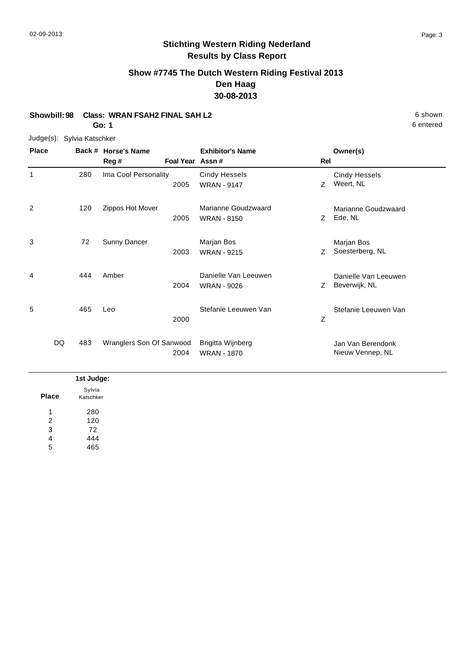## **Show #7745 The Dutch Western Riding Festival 2013 Den Haag 30-08-2013**

## **Showbill: 98 Class: WRAN FSAH2 FINAL SAH L2** 6 shown

**Go: 1**

#### Judge(s): Sylvia Katschker

| <b>Place</b> |            | Back # Horse's Name      |                 | <b>Exhibitor's Name</b> |     | Owner(s)             |  |
|--------------|------------|--------------------------|-----------------|-------------------------|-----|----------------------|--|
|              |            | Reg #                    | Foal Year Assn# |                         | Rel |                      |  |
| 1            | 280        | Ima Cool Personality     |                 | <b>Cindy Hessels</b>    |     | <b>Cindy Hessels</b> |  |
|              |            |                          | 2005            | <b>WRAN - 9147</b>      | Ζ   | Weert, NL            |  |
| 2            | 120        | Zippos Hot Mover         |                 | Marianne Goudzwaard     |     | Marianne Goudzwaard  |  |
|              |            |                          | 2005            | <b>WRAN - 8150</b>      | Z   | Ede, NL              |  |
| 3            | 72         | Sunny Dancer             |                 | Marjan Bos              |     | Marjan Bos           |  |
|              |            |                          | 2003            | <b>WRAN - 9215</b>      | Z   | Soesterberg, NL      |  |
| 4            | 444        | Amber                    |                 | Danielle Van Leeuwen    |     | Danielle Van Leeuwen |  |
|              |            |                          | 2004            | <b>WRAN - 9026</b>      | Z.  | Beverwijk, NL        |  |
| 5            | 465        | Leo                      |                 | Stefanie Leeuwen Van    |     | Stefanie Leeuwen Van |  |
|              |            |                          | 2000            |                         | Z   |                      |  |
|              | DQ.<br>483 | Wranglers Son Of Sanwood |                 | Brigitta Wijnberg       |     | Jan Van Berendonk    |  |
|              |            |                          | 2004            | <b>WRAN - 1870</b>      |     | Nieuw Vennep, NL     |  |

|              | 1st Judge: |
|--------------|------------|
|              | Sylvia     |
| <b>Place</b> | Katschker  |
| 4            | 280        |
| 2            | 120        |
| 3            | 72         |
| 4            | 444        |
| 5            | 465        |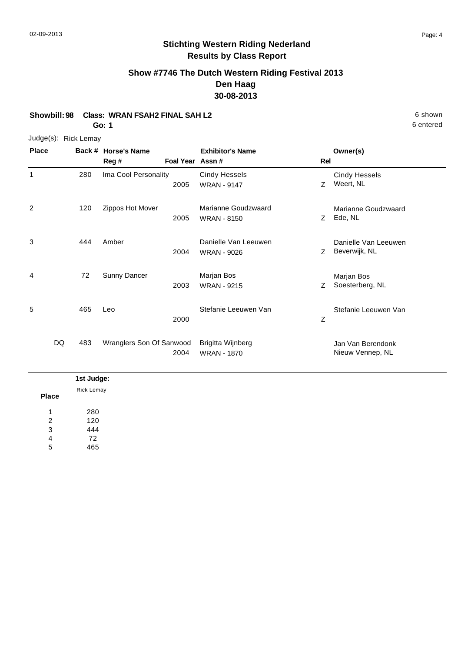## **Show #7746 The Dutch Western Riding Festival 2013 Den Haag 30-08-2013**

## **Showbill: 98 Class: WRAN FSAH2 FINAL SAH L2** 6 shown

**Go: 1**

#### Judge(s): Rick Lemay

| <b>Place</b> |           | Back # Horse's Name      |                 | <b>Exhibitor's Name</b> |     | Owner(s)             |
|--------------|-----------|--------------------------|-----------------|-------------------------|-----|----------------------|
|              |           | Reg#                     | Foal Year Assn# |                         | Rel |                      |
| 1            | 280       | Ima Cool Personality     |                 | <b>Cindy Hessels</b>    |     | <b>Cindy Hessels</b> |
|              |           |                          | 2005            | <b>WRAN - 9147</b>      | Z   | Weert, NL            |
| 2            | 120       | Zippos Hot Mover         |                 | Marianne Goudzwaard     |     | Marianne Goudzwaard  |
|              |           |                          | 2005            | <b>WRAN - 8150</b>      | Z   | Ede, NL              |
| 3            | 444       | Amber                    |                 | Danielle Van Leeuwen    |     | Danielle Van Leeuwen |
|              |           |                          | 2004            | <b>WRAN - 9026</b>      | Z   | Beverwijk, NL        |
| 4            | 72        | Sunny Dancer             |                 | Marjan Bos              |     | Marjan Bos           |
|              |           |                          | 2003            | <b>WRAN - 9215</b>      | Z   | Soesterberg, NL      |
| 5            | 465       | Leo                      |                 | Stefanie Leeuwen Van    |     | Stefanie Leeuwen Van |
|              |           |                          | 2000            |                         | Z   |                      |
|              | DQ<br>483 | Wranglers Son Of Sanwood |                 | Brigitta Wijnberg       |     | Jan Van Berendonk    |
|              |           |                          | 2004            | <b>WRAN - 1870</b>      |     | Nieuw Vennep, NL     |

|                | 1st Judge:        |
|----------------|-------------------|
|                | <b>Rick Lemay</b> |
| <b>Place</b>   |                   |
| и              | 280               |
| $\overline{2}$ | 120               |
| 3              | 444               |
| 4              | 72                |
| 5              | 465               |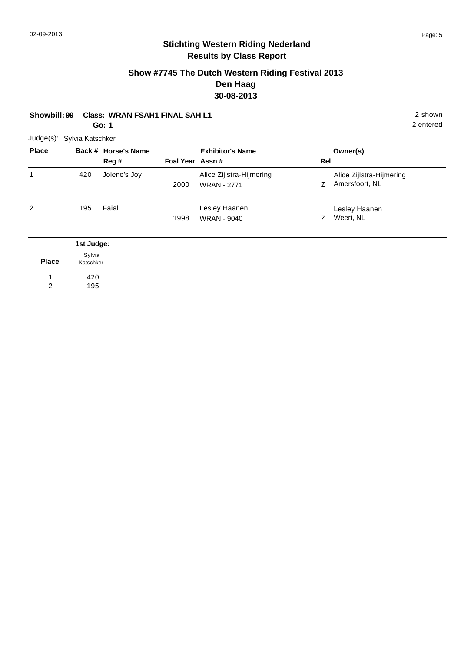## **Show #7745 The Dutch Western Riding Festival 2013 Den Haag 30-08-2013**

## **Showbill: 99 Class: WRAN FSAH1 FINAL SAH L1** 2 shown

**Go: 1**

Judge(s): Sylvia Katschker

| <b>Place</b> |            | Back # Horse's Name<br>Reg # | Foal Year Assn# | <b>Exhibitor's Name</b>                        | <b>Rel</b> | Owner(s)                                   |
|--------------|------------|------------------------------|-----------------|------------------------------------------------|------------|--------------------------------------------|
| 1            | 420        | Jolene's Joy                 | 2000            | Alice Zijlstra-Hijmering<br><b>WRAN - 2771</b> | Z          | Alice Zijlstra-Hijmering<br>Amersfoort, NL |
| 2            | 195        | Faial                        | 1998            | Lesley Haanen<br>WRAN - 9040                   | Z.         | Lesley Haanen<br>Weert, NL                 |
|              | 1st Judge: |                              |                 |                                                |            |                                            |

|                     | 1st Judge:          |
|---------------------|---------------------|
| <b>Place</b>        | Sylvia<br>Katschker |
| $\overline{A}$<br>2 | 420<br>195          |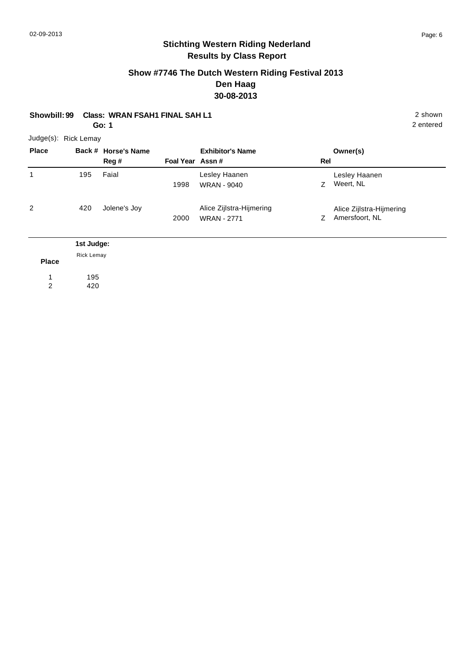## **Show #7746 The Dutch Western Riding Festival 2013 Den Haag 30-08-2013**

### **Showbill: 99 Class: WRAN FSAH1 FINAL SAH L1** 2 shown

**Go: 1**

Judge(s): Rick Lemay

| <b>Place</b> |                                 | Back # Horse's Name<br>Reg# | Foal Year Assn# | <b>Exhibitor's Name</b>                        | Rel | Owner(s)                                   |
|--------------|---------------------------------|-----------------------------|-----------------|------------------------------------------------|-----|--------------------------------------------|
| 1            | 195                             | Faial                       | 1998            | Lesley Haanen<br><b>WRAN - 9040</b>            | Z.  | Lesley Haanen<br>Weert, NL                 |
| 2            | 420                             | Jolene's Joy                | 2000            | Alice Zijlstra-Hijmering<br><b>WRAN - 2771</b> | Z   | Alice Zijlstra-Hijmering<br>Amersfoort, NL |
|              | 1st Judge:<br><b>Rick Lemay</b> |                             |                 |                                                |     |                                            |

| <b>Place</b> |     |
|--------------|-----|
| 1            | 195 |

420 2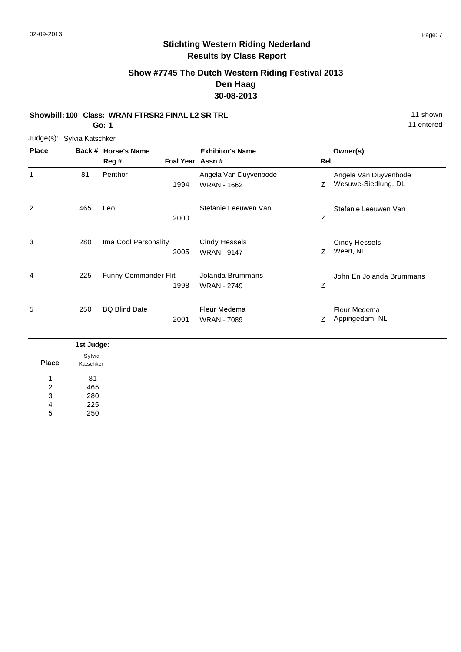## **Show #7745 The Dutch Western Riding Festival 2013 Den Haag 30-08-2013**

## **Showbill: 100 Class: WRAN FTRSR2 FINAL L2 SR TRL** 11 shown

**Go: 1**

Judge(s): Sylvia Katschker

| <b>Place</b> | Back # | <b>Horse's Name</b><br>Reg # | Foal Year Assn# | <b>Exhibitor's Name</b>                     | Rel | Owner(s)                                     |
|--------------|--------|------------------------------|-----------------|---------------------------------------------|-----|----------------------------------------------|
| 1            | 81     | Penthor                      | 1994            | Angela Van Duyvenbode<br><b>WRAN - 1662</b> | Z.  | Angela Van Duyvenbode<br>Wesuwe-Siedlung, DL |
| 2            | 465    | Leo                          | 2000            | Stefanie Leeuwen Van                        | Z   | Stefanie Leeuwen Van                         |
| 3            | 280    | Ima Cool Personality         | 2005            | <b>Cindy Hessels</b><br><b>WRAN - 9147</b>  | Z   | <b>Cindy Hessels</b><br>Weert, NL            |
| 4            | 225    | <b>Funny Commander Flit</b>  | 1998            | Jolanda Brummans<br><b>WRAN - 2749</b>      | Z   | John En Jolanda Brummans                     |
| 5            | 250    | <b>BQ Blind Date</b>         | 2001            | Fleur Medema<br><b>WRAN - 7089</b>          | Ζ   | Fleur Medema<br>Appingedam, NL               |

|              | 1st Judge:          |
|--------------|---------------------|
| <b>Place</b> | Sylvia<br>Katschker |
| л            | 81                  |
| 2            | 465                 |
| 3            | 280                 |
| 4            | 225                 |
| 5            | 250                 |

11 entered

 $\overline{\phantom{0}}$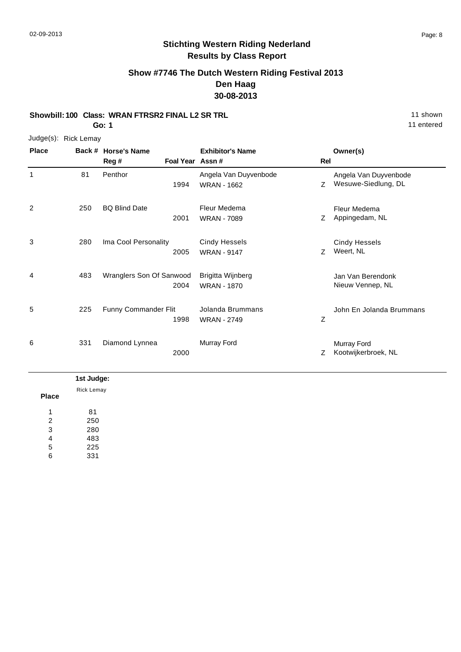## **Show #7746 The Dutch Western Riding Festival 2013 Den Haag 30-08-2013**

**Showbill: 100 Class: WRAN FTRSR2 FINAL L2 SR TRL** 11 shown

**Go: 1**

Judge(s): Rick Lemay

| <b>Place</b> | Back # | <b>Horse's Name</b><br>Reg #<br>Foal Year Assn # | <b>Exhibitor's Name</b>                     | Rel | Owner(s)                                     |
|--------------|--------|--------------------------------------------------|---------------------------------------------|-----|----------------------------------------------|
| 1            | 81     | Penthor<br>1994                                  | Angela Van Duyvenbode<br><b>WRAN - 1662</b> | Z   | Angela Van Duyvenbode<br>Wesuwe-Siedlung, DL |
| 2            | 250    | <b>BQ Blind Date</b><br>2001                     | Fleur Medema<br><b>WRAN - 7089</b>          | Z   | Fleur Medema<br>Appingedam, NL               |
| 3            | 280    | Ima Cool Personality<br>2005                     | <b>Cindy Hessels</b><br><b>WRAN - 9147</b>  | Z   | <b>Cindy Hessels</b><br>Weert, NL            |
| 4            | 483    | Wranglers Son Of Sanwood<br>2004                 | Brigitta Wijnberg<br><b>WRAN - 1870</b>     |     | Jan Van Berendonk<br>Nieuw Vennep, NL        |
| 5            | 225    | <b>Funny Commander Flit</b><br>1998              | Jolanda Brummans<br><b>WRAN - 2749</b>      | Z   | John En Jolanda Brummans                     |
| 6            | 331    | Diamond Lynnea<br>2000                           | Murray Ford                                 | Z   | Murray Ford<br>Kootwijkerbroek, NL           |

#### **Place 1st Judge:**  81 250 280 483 225 1 2 3 4 5 6 Rick Lemay

331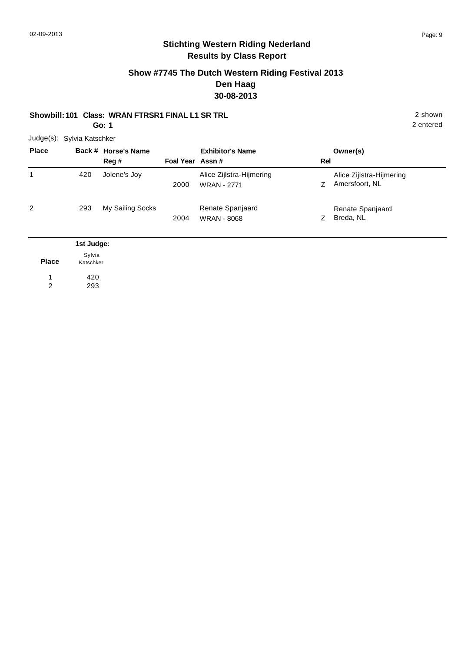## **Show #7745 The Dutch Western Riding Festival 2013 Den Haag 30-08-2013**

## **Showbill: 101 Class: WRAN FTRSR1 FINAL L1 SR TRL** 2 shown

**Go: 1**

2 entered

Judge(s): Sylvia Katschker

| <b>Place</b> |            | Back # Horse's Name<br>Reg# | Foal Year Assn# | <b>Exhibitor's Name</b>                        | Rel | Owner(s)                                   |
|--------------|------------|-----------------------------|-----------------|------------------------------------------------|-----|--------------------------------------------|
| 1            | 420        | Jolene's Joy                | 2000            | Alice Zijlstra-Hijmering<br><b>WRAN - 2771</b> | Ζ   | Alice Zijlstra-Hijmering<br>Amersfoort, NL |
| 2            | 293        | My Sailing Socks            | 2004            | Renate Spanjaard<br><b>WRAN - 8068</b>         | Ζ   | Renate Spanjaard<br>Breda, NL              |
|              | 1st Judge: |                             |                 |                                                |     |                                            |
|              | Sylvia     |                             |                 |                                                |     |                                            |

**Place** 420 1 Katschker

293 2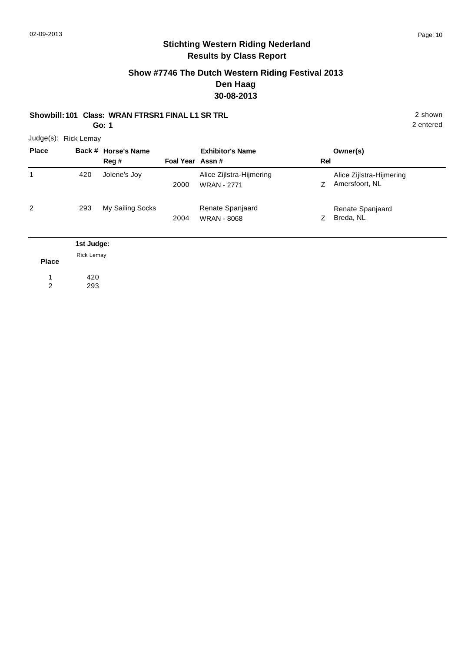## **Show #7746 The Dutch Western Riding Festival 2013 Den Haag 30-08-2013**

#### **Showbill: 101 Class: WRAN FTRSR1 FINAL L1 SR TRL** 2 shown

**Go: 1**

2 entered

Judge(s): Rick Lemay

| <b>Place</b> |                   | Back # Horse's Name<br>Reg# | Foal Year Assn# | <b>Exhibitor's Name</b>                        | Rel | Owner(s)                                   |
|--------------|-------------------|-----------------------------|-----------------|------------------------------------------------|-----|--------------------------------------------|
| 1            | 420               | Jolene's Joy                | 2000            | Alice Zijlstra-Hijmering<br><b>WRAN - 2771</b> | Z.  | Alice Zijlstra-Hijmering<br>Amersfoort, NL |
| 2            | 293               | My Sailing Socks            | 2004            | Renate Spanjaard<br><b>WRAN - 8068</b>         | Ζ   | Renate Spanjaard<br>Breda, NL              |
|              | 1st Judge:        |                             |                 |                                                |     |                                            |
| <b>Place</b> | <b>Rick Lemay</b> |                             |                 |                                                |     |                                            |

420 1

293 2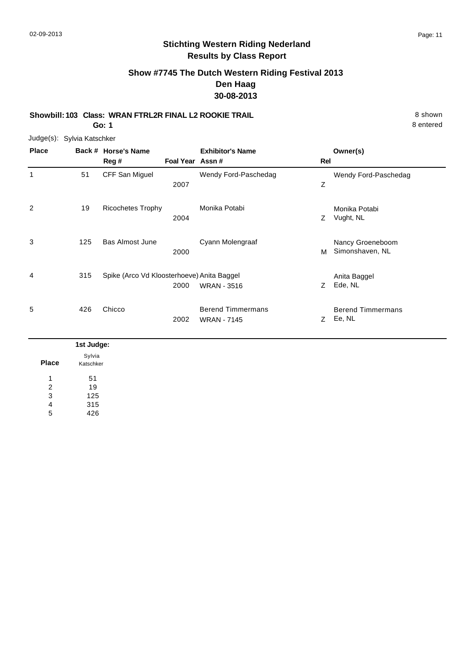## **Show #7745 The Dutch Western Riding Festival 2013 Den Haag 30-08-2013**

**Showbill: 103 Class: WRAN FTRL2R FINAL L2 ROOKIE TRAIL** 8 Shown **Go: 1**

Judge(s): Sylvia Katschker

| <b>Place</b> |     | Back # Horse's Name<br>Reg #               | Foal Year Assn# | <b>Exhibitor's Name</b>                        | Rel | Owner(s)                            |
|--------------|-----|--------------------------------------------|-----------------|------------------------------------------------|-----|-------------------------------------|
| 1            | 51  | CFF San Miguel                             | 2007            | Wendy Ford-Paschedag                           | Ζ   | Wendy Ford-Paschedag                |
| 2            | 19  | <b>Ricochetes Trophy</b>                   | 2004            | Monika Potabi                                  | Z   | Monika Potabi<br>Vught, NL          |
| 3            | 125 | <b>Bas Almost June</b>                     | 2000            | Cyann Molengraaf                               | м   | Nancy Groeneboom<br>Simonshaven, NL |
| 4            | 315 | Spike (Arco Vd Kloosterhoeve) Anita Baggel | 2000            | <b>WRAN - 3516</b>                             | Z   | Anita Baggel<br>Ede, NL             |
| 5            | 426 | Chicco                                     | 2002            | <b>Berend Timmermans</b><br><b>WRAN - 7145</b> | Z   | <b>Berend Timmermans</b><br>Ee, NL  |

|              | 1st Judge:          |
|--------------|---------------------|
| <b>Place</b> | Sylvia<br>Katschker |
|              | 51                  |
| 2            | 19                  |
| 3            | 125                 |
| 4            | 315                 |
| 5            | 426                 |